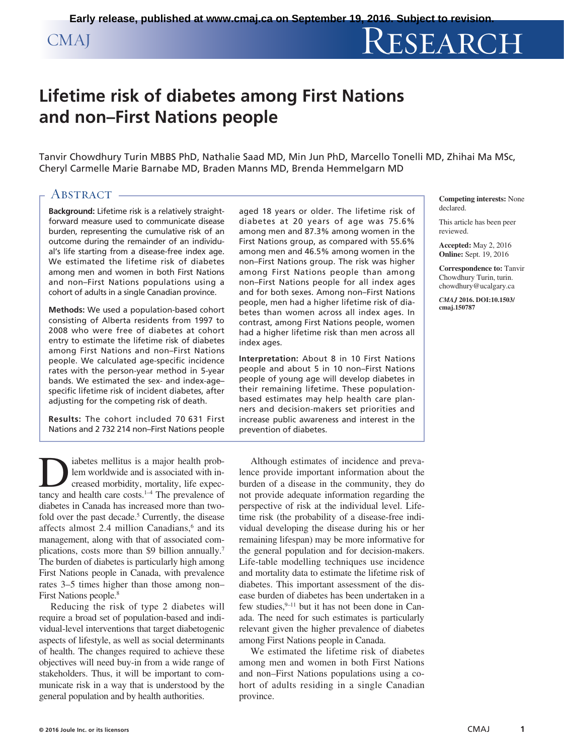# CMAJ RESEARCH

# **Lifetime risk of diabetes among First Nations and non–First Nations people**

Tanvir Chowdhury Turin MBBS PhD, Nathalie Saad MD, Min Jun PhD, Marcello Tonelli MD, Zhihai Ma MSc, Cheryl Carmelle Marie Barnabe MD, Braden Manns MD, Brenda Hemmelgarn MD

# ABSTRACT -

**Background:** Lifetime risk is a relatively straightforward measure used to communicate disease burden, representing the cumulative risk of an outcome during the remainder of an individual's life starting from a disease-free index age. We estimated the lifetime risk of diabetes among men and women in both First Nations and non–First Nations populations using a cohort of adults in a single Canadian province.

**Methods:** We used a population-based cohort consisting of Alberta residents from 1997 to 2008 who were free of diabetes at cohort entry to estimate the lifetime risk of diabetes among First Nations and non–First Nations people. We calculated age-specific incidence rates with the person-year method in 5-year bands. We estimated the sex- and index-age– specific lifetime risk of incident diabetes, after adjusting for the competing risk of death.

**Results:** The cohort included 70 631 First Nations and 2 732 214 non–First Nations people

Diabetes mellitus is a major health prob-<br>
lem worldwide and is associated with in-<br>
creased morbidity, mortality, life expec-<br>
tangy and health care costs  $\frac{14}{3}$ . The prevelence of lem worldwide and is associated with intancy and health care costs. $1-4$  The prevalence of diabetes in Canada has increased more than twofold over the past decade.<sup>5</sup> Currently, the disease affects almost 2.4 million Canadians,<sup>6</sup> and its management, along with that of associated complications, costs more than \$9 billion annually.7 The burden of diabetes is particularly high among First Nations people in Canada, with prevalence rates 3–5 times higher than those among non– First Nations people.8

Reducing the risk of type 2 diabetes will require a broad set of population-based and individual-level interventions that target diabetogenic aspects of lifestyle, as well as social determinants of health. The changes required to achieve these objectives will need buy-in from a wide range of stakeholders. Thus, it will be important to communicate risk in a way that is understood by the general population and by health authorities.

aged 18 years or older. The lifetime risk of diabetes at 20 years of age was 75.6% among men and 87.3% among women in the First Nations group, as compared with 55.6% among men and 46.5% among women in the non–First Nations group. The risk was higher among First Nations people than among non–First Nations people for all index ages and for both sexes. Among non–First Nations people, men had a higher lifetime risk of diabetes than women across all index ages. In contrast, among First Nations people, women had a higher lifetime risk than men across all index ages.

**Interpretation:** About 8 in 10 First Nations people and about 5 in 10 non–First Nations people of young age will develop diabetes in their remaining lifetime. These populationbased estimates may help health care planners and decision-makers set priorities and increase public awareness and interest in the prevention of diabetes.

Although estimates of incidence and prevalence provide important information about the burden of a disease in the community, they do not provide adequate information regarding the perspective of risk at the individual level. Lifetime risk (the probability of a disease-free individual developing the disease during his or her remaining lifespan) may be more informative for the general population and for decision-makers. Life-table modelling techniques use incidence and mortality data to estimate the lifetime risk of diabetes. This important assessment of the disease burden of diabetes has been undertaken in a few studies. $9-11$  but it has not been done in Canada. The need for such estimates is particularly relevant given the higher prevalence of diabetes among First Nations people in Canada.

We estimated the lifetime risk of diabetes among men and women in both First Nations and non–First Nations populations using a cohort of adults residing in a single Canadian province.

**Competing interests:** None declared.

This article has been peer reviewed.

**Accepted:** May 2, 2016 **Online:** Sept. 19, 2016

**Correspondence to:** Tanvir Chowdhury Turin, turin. [chowdhury@ucalgary.ca](mailto:turin.chowdhury@ucalgary.ca\)

*CMAJ* **2016. DOI:10.1503/ cmaj.150787**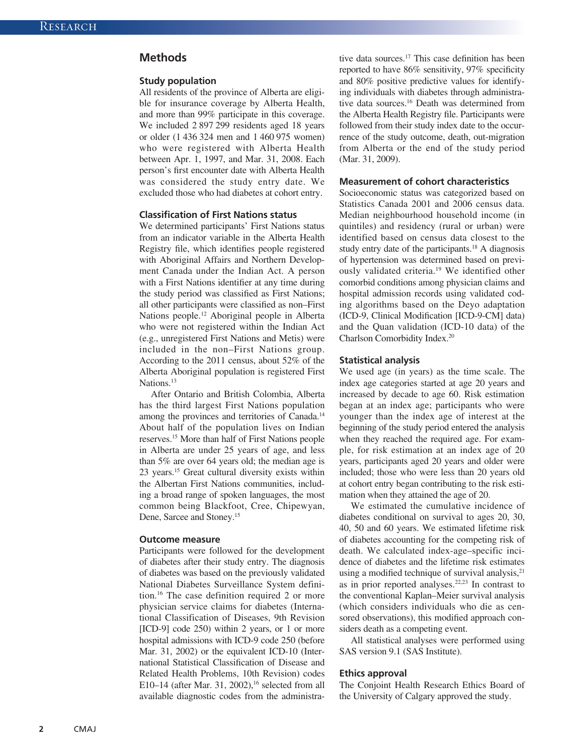## **Methods**

#### **Study population**

All residents of the province of Alberta are eligible for insurance coverage by Alberta Health, and more than 99% participate in this coverage. We included 2 897 299 residents aged 18 years or older (1 436 324 men and 1 460 975 women) who were registered with Alberta Health between Apr. 1, 1997, and Mar. 31, 2008. Each person's first encounter date with Alberta Health was considered the study entry date. We excluded those who had diabetes at cohort entry.

#### **Classification of First Nations status**

We determined participants' First Nations status from an indicator variable in the Alberta Health Registry file, which identifies people registered with Aboriginal Affairs and Northern Development Canada under the Indian Act. A person with a First Nations identifier at any time during the study period was classified as First Nations; all other participants were classified as non–First Nations people.12 Aboriginal people in Alberta who were not registered within the Indian Act (e.g., unregistered First Nations and Metis) were included in the non–First Nations group. According to the 2011 census, about 52% of the Alberta Aboriginal population is registered First Nations.<sup>13</sup>

After Ontario and British Colombia, Alberta has the third largest First Nations population among the provinces and territories of Canada.14 About half of the population lives on Indian reserves.15 More than half of First Nations people in Alberta are under 25 years of age, and less than 5% are over 64 years old; the median age is 23 years.15 Great cultural diversity exists within the Albertan First Nations communities, including a broad range of spoken languages, the most common being Blackfoot, Cree, Chipewyan, Dene, Sarcee and Stoney.15

#### **Outcome measure**

Participants were followed for the development of diabetes after their study entry. The diagnosis of diabetes was based on the previously validated National Diabetes Surveillance System definition.16 The case definition required 2 or more physician service claims for diabetes (International Classification of Diseases, 9th Revision [ICD-9] code 250) within 2 years, or 1 or more hospital admissions with ICD-9 code 250 (before Mar. 31, 2002) or the equivalent ICD-10 (International Statistical Classification of Disease and Related Health Problems, 10th Revision) codes E10–14 (after Mar. 31, 2002),<sup>16</sup> selected from all available diagnostic codes from the administrative data sources.<sup>17</sup> This case definition has been reported to have 86% sensitivity, 97% specificity and 80% positive predictive values for identifying individuals with diabetes through administrative data sources.16 Death was determined from the Alberta Health Registry file. Participants were followed from their study index date to the occurrence of the study outcome, death, out-migration from Alberta or the end of the study period (Mar. 31, 2009).

#### **Measurement of cohort characteristics**

Socioeconomic status was categorized based on Statistics Canada 2001 and 2006 census data. Median neighbourhood household income (in quintiles) and residency (rural or urban) were identified based on census data closest to the study entry date of the participants.<sup>18</sup> A diagnosis of hypertension was determined based on previously validated criteria.19 We identified other comorbid conditions among physician claims and hospital admission records using validated coding algorithms based on the Deyo adaptation (ICD-9, Clinical Modification [ICD-9-CM] data) and the Quan validation (ICD-10 data) of the Charlson Comorbidity Index.20

#### **Statistical analysis**

We used age (in years) as the time scale. The index age categories started at age 20 years and increased by decade to age 60. Risk estimation began at an index age; participants who were younger than the index age of interest at the beginning of the study period entered the analysis when they reached the required age. For example, for risk estimation at an index age of 20 years, participants aged 20 years and older were included; those who were less than 20 years old at cohort entry began contributing to the risk estimation when they attained the age of 20.

We estimated the cumulative incidence of diabetes conditional on survival to ages 20, 30, 40, 50 and 60 years. We estimated lifetime risk of diabetes accounting for the competing risk of death. We calculated index-age–specific incidence of diabetes and the lifetime risk estimates using a modified technique of survival analysis, $2<sup>1</sup>$ as in prior reported analyses.22,23 In contrast to the conventional Kaplan–Meier survival analysis (which considers individuals who die as censored observations), this modified approach considers death as a competing event.

All statistical analyses were performed using SAS version 9.1 (SAS Institute).

#### **Ethics approval**

The Conjoint Health Research Ethics Board of the University of Calgary approved the study.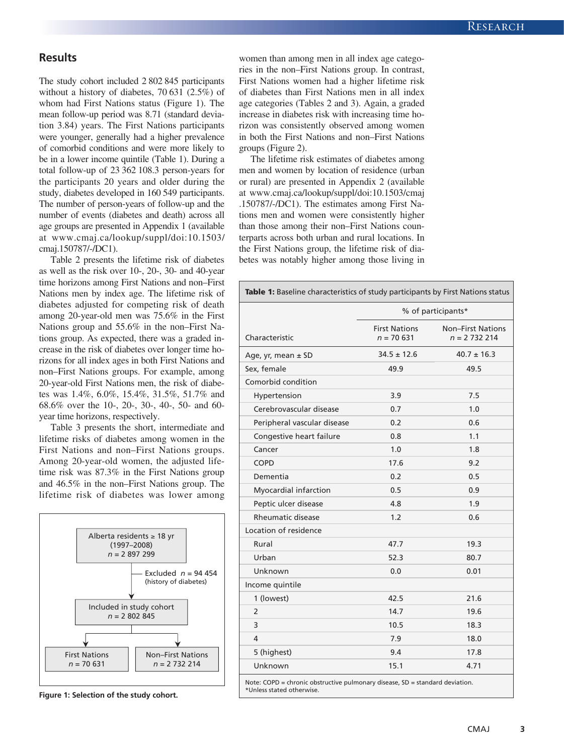# **Results**

The study cohort included 2 802 845 participants without a history of diabetes, 70 631 (2.5%) of whom had First Nations status (Figure 1). The mean follow-up period was 8.71 (standard deviation 3.84) years. The First Nations participants were younger, generally had a higher prevalence of comorbid conditions and were more likely to be in a lower income quintile (Table 1). During a total follow-up of 23 362 108.3 person-years for the participants 20 years and older during the study, diabetes developed in 160 549 participants. The number of person-years of follow-up and the number of events (diabetes and death) across all age groups are presented in Appendix 1 (available at [www.cmaj.ca/lookup/suppl/doi:10.1503/](http://www.cmaj.ca/lookup/suppl/doi:10.1503/cmaj.150787/-/DC1) [cmaj.150787/-/DC1\)](http://www.cmaj.ca/lookup/suppl/doi:10.1503/cmaj.150787/-/DC1).

Table 2 presents the lifetime risk of diabetes as well as the risk over 10-, 20-, 30- and 40-year time horizons among First Nations and non–First Nations men by index age. The lifetime risk of diabetes adjusted for competing risk of death among 20-year-old men was 75.6% in the First Nations group and 55.6% in the non–First Nations group. As expected, there was a graded increase in the risk of diabetes over longer time horizons for all index ages in both First Nations and non–First Nations groups. For example, among 20-year-old First Nations men, the risk of diabetes was 1.4%, 6.0%, 15.4%, 31.5%, 51.7% and 68.6% over the 10-, 20-, 30-, 40-, 50- and 60 year time horizons, respectively.

Table 3 presents the short, intermediate and lifetime risks of diabetes among women in the First Nations and non–First Nations groups. Among 20-year-old women, the adjusted lifetime risk was 87.3% in the First Nations group and 46.5% in the non–First Nations group. The lifetime risk of diabetes was lower among



**Figure 1: Selection of the study cohort.**

women than among men in all index age categories in the non–First Nations group. In contrast, First Nations women had a higher lifetime risk of diabetes than First Nations men in all index age categories (Tables 2 and 3). Again, a graded increase in diabetes risk with increasing time horizon was consistently observed among women in both the First Nations and non–First Nations groups (Figure 2).

The lifetime risk estimates of diabetes among men and women by location of residence (urban or rural) are presented in Appendix 2 (available at [www.cmaj.ca/lookup/suppl/doi:10.1503/cmaj](http://www.cmaj.ca/lookup/suppl/doi:10.1503/cmaj.150787/-/DC1) [.150787/-/DC1](http://www.cmaj.ca/lookup/suppl/doi:10.1503/cmaj.150787/-/DC1)). The estimates among First Nations men and women were consistently higher than those among their non–First Nations counterparts across both urban and rural locations. In the First Nations group, the lifetime risk of diabetes was notably higher among those living in

| Table 1: Baseline characteristics of study participants by First Nations status |                                     |                                           |  |
|---------------------------------------------------------------------------------|-------------------------------------|-------------------------------------------|--|
|                                                                                 | % of participants*                  |                                           |  |
| Characteristic                                                                  | <b>First Nations</b><br>$n = 70631$ | <b>Non-First Nations</b><br>$n = 2732214$ |  |
| Age, yr, mean $\pm$ SD                                                          | $34.5 \pm 12.6$                     | $40.7 \pm 16.3$                           |  |
| Sex, female                                                                     | 49.9                                | 49.5                                      |  |
| Comorbid condition                                                              |                                     |                                           |  |
| Hypertension                                                                    | 3.9                                 | 7.5                                       |  |
| Cerebrovascular disease                                                         | 0.7                                 | 1.0                                       |  |
| Peripheral vascular disease                                                     | 0.2                                 | 0.6                                       |  |
| Congestive heart failure                                                        | 0.8                                 | 1.1                                       |  |
| Cancer                                                                          | 1.0                                 | 1.8                                       |  |
| <b>COPD</b>                                                                     | 17.6                                | 9.2                                       |  |
| Dementia                                                                        | 0.2                                 | 0.5                                       |  |
| <b>Myocardial infarction</b>                                                    | 0.5                                 | 0.9                                       |  |
| Peptic ulcer disease                                                            | 4.8                                 | 1.9                                       |  |
| Rheumatic disease                                                               | 1.2                                 | 0.6                                       |  |
| Location of residence                                                           |                                     |                                           |  |
| Rural                                                                           | 47.7                                | 19.3                                      |  |
| Urban                                                                           | 52.3                                | 80.7                                      |  |
| Unknown                                                                         | 0.0                                 | 0.01                                      |  |
| Income quintile                                                                 |                                     |                                           |  |
| 1 (lowest)                                                                      | 42.5                                | 21.6                                      |  |
| 2                                                                               | 14.7                                | 19.6                                      |  |
| 3                                                                               | 10.5                                | 18.3                                      |  |
| 4                                                                               | 7.9                                 | 18.0                                      |  |
| 5 (highest)                                                                     | 9.4                                 | 17.8                                      |  |
| Unknown                                                                         | 15.1                                | 4.71                                      |  |

Note:  $COPD =$  chronic obstructive pulmonary disease.  $SD =$  standard deviation. \*Unless stated otherwise.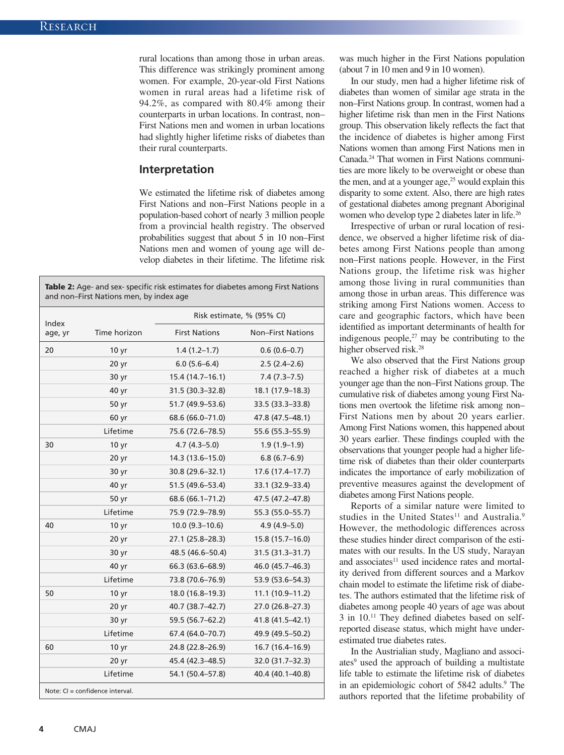rural locations than among those in urban areas. This difference was strikingly prominent among women. For example, 20-year-old First Nations women in rural areas had a lifetime risk of 94.2%, as compared with 80.4% among their counterparts in urban locations. In contrast, non– First Nations men and women in urban locations had slightly higher lifetime risks of diabetes than their rural counterparts.

### **Interpretation**

We estimated the lifetime risk of diabetes among First Nations and non–First Nations people in a population-based cohort of nearly 3 million people from a provincial health registry. The observed probabilities suggest that about 5 in 10 non–First Nations men and women of young age will develop diabetes in their lifetime. The lifetime risk

| Index<br>age, yr                                                                  | Time horizon     | Risk estimate, % (95% CI) |                          |  |
|-----------------------------------------------------------------------------------|------------------|---------------------------|--------------------------|--|
|                                                                                   |                  | <b>First Nations</b>      | <b>Non-First Nations</b> |  |
| 20                                                                                | 10 <sub>yr</sub> | $1.4(1.2-1.7)$            | $0.6(0.6-0.7)$           |  |
|                                                                                   | 20 <sub>yr</sub> | $6.0(5.6-6.4)$            | $2.5(2.4-2.6)$           |  |
|                                                                                   | 30 <sub>yr</sub> | 15.4 (14.7-16.1)          | $7.4(7.3 - 7.5)$         |  |
|                                                                                   | 40 yr            | 31.5 (30.3-32.8)          | 18.1 (17.9-18.3)         |  |
|                                                                                   | 50 yr            | 51.7 (49.9-53.6)          | 33.5 (33.3-33.8)         |  |
|                                                                                   | 60 yr            | 68.6 (66.0-71.0)          | 47.8 (47.5-48.1)         |  |
|                                                                                   | Lifetime         | 75.6 (72.6–78.5)          | 55.6 (55.3–55.9)         |  |
| 30<br>10 <sub>yr</sub><br>20 <sub>yr</sub><br>30 yr<br>40 yr<br>50 yr<br>Lifetime |                  | $4.7(4.3-5.0)$            | $1.9(1.9-1.9)$           |  |
|                                                                                   |                  | 14.3 (13.6-15.0)          | $6.8(6.7-6.9)$           |  |
|                                                                                   |                  | 30.8 (29.6-32.1)          | 17.6 (17.4-17.7)         |  |
|                                                                                   | 51.5 (49.6-53.4) | 33.1 (32.9–33.4)          |                          |  |
|                                                                                   | 68.6 (66.1-71.2) | 47.5 (47.2-47.8)          |                          |  |
|                                                                                   |                  | 75.9 (72.9-78.9)          | 55.3 (55.0-55.7)         |  |
| 40                                                                                | 10 <sub>yr</sub> | $10.0(9.3-10.6)$          | $4.9(4.9 - 5.0)$         |  |
|                                                                                   | 20 <sub>yr</sub> | 27.1 (25.8-28.3)          | 15.8 (15.7-16.0)         |  |
|                                                                                   | 30 yr            | 48.5 (46.6-50.4)          | 31.5 (31.3-31.7)         |  |
| 40 yr<br>Lifetime                                                                 | 66.3 (63.6-68.9) | 46.0 (45.7-46.3)          |                          |  |
|                                                                                   |                  | 73.8 (70.6-76.9)          | 53.9 (53.6-54.3)         |  |
| 50                                                                                | 10 <sub>yr</sub> | 18.0 (16.8-19.3)          | 11.1 (10.9-11.2)         |  |
|                                                                                   | 20 <sub>yr</sub> | 40.7 (38.7-42.7)          | 27.0 (26.8-27.3)         |  |
|                                                                                   | 30 yr            | 59.5 (56.7-62.2)          | 41.8 (41.5-42.1)         |  |
|                                                                                   | Lifetime         | 67.4 (64.0-70.7)          | 49.9 (49.5 - 50.2)       |  |
| 60                                                                                | 10 <sub>yr</sub> | 24.8 (22.8-26.9)          | 16.7 (16.4-16.9)         |  |
|                                                                                   | 20 <sub>yr</sub> | 45.4 (42.3–48.5)          | 32.0 (31.7-32.3)         |  |
|                                                                                   | Lifetime         | 54.1 (50.4-57.8)          | 40.4 (40.1-40.8)         |  |

was much higher in the First Nations population (about 7 in 10 men and 9 in 10 women).

In our study, men had a higher lifetime risk of diabetes than women of similar age strata in the non–First Nations group. In contrast, women had a higher lifetime risk than men in the First Nations group. This observation likely reflects the fact that the incidence of diabetes is higher among First Nations women than among First Nations men in Canada.24 That women in First Nations communities are more likely to be overweight or obese than the men, and at a younger  $\text{age},^{25}$  would explain this disparity to some extent. Also, there are high rates of gestational diabetes among pregnant Aboriginal women who develop type 2 diabetes later in life.26

Irrespective of urban or rural location of residence, we observed a higher lifetime risk of diabetes among First Nations people than among non–First nations people. However, in the First Nations group, the lifetime risk was higher among those living in rural communities than among those in urban areas. This difference was striking among First Nations women. Access to care and geographic factors, which have been identified as important determinants of health for indigenous people, $27$  may be contributing to the higher observed risk.<sup>28</sup>

We also observed that the First Nations group reached a higher risk of diabetes at a much younger age than the non–First Nations group. The cumulative risk of diabetes among young First Nations men overtook the lifetime risk among non– First Nations men by about 20 years earlier. Among First Nations women, this happened about 30 years earlier. These findings coupled with the observations that younger people had a higher lifetime risk of diabetes than their older counterparts indicates the importance of early mobilization of preventive measures against the development of diabetes among First Nations people.

Reports of a similar nature were limited to studies in the United States<sup>11</sup> and Australia.<sup>9</sup> However, the methodologic differences across these studies hinder direct comparison of the estimates with our results. In the US study, Narayan and associates $11$  used incidence rates and mortality derived from different sources and a Markov chain model to estimate the lifetime risk of diabetes. The authors estimated that the lifetime risk of diabetes among people 40 years of age was about 3 in 10.11 They defined diabetes based on selfreported disease status, which might have underestimated true diabetes rates.

In the Austrialian study, Magliano and associates<sup>9</sup> used the approach of building a multistate life table to estimate the lifetime risk of diabetes in an epidemiologic cohort of 5842 adults.<sup>9</sup> The authors reported that the lifetime probability of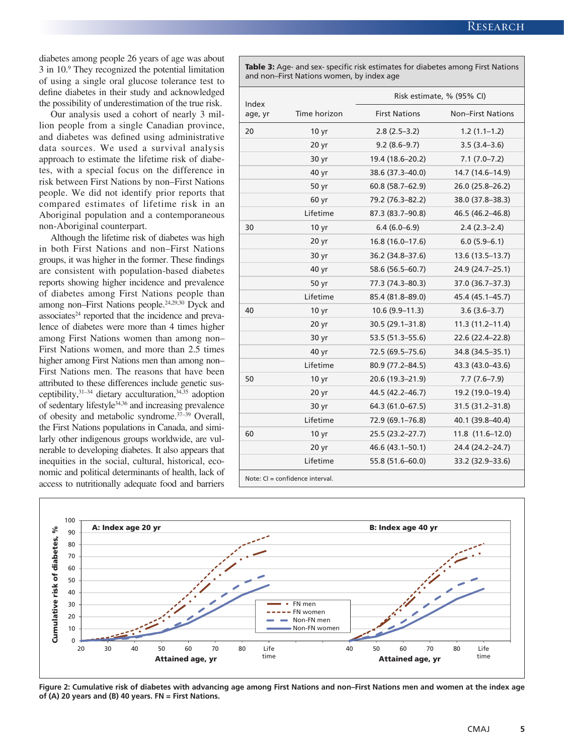diabetes among people 26 years of age was about 3 in 10.9 They recognized the potential limitation of using a single oral glucose tolerance test to define diabetes in their study and acknowledged the possibility of underestimation of the true risk.

Our analysis used a cohort of nearly 3 million people from a single Canadian province, and diabetes was defined using administrative data sources. We used a survival analysis approach to estimate the lifetime risk of diabetes, with a special focus on the difference in risk between First Nations by non–First Nations people. We did not identify prior reports that compared estimates of lifetime risk in an Aboriginal population and a contemporaneous non-Aboriginal counterpart.

Although the lifetime risk of diabetes was high in both First Nations and non–First Nations groups, it was higher in the former. These findings are consistent with population-based diabetes reports showing higher incidence and prevalence of diabetes among First Nations people than among non–First Nations people.<sup>24,29,30</sup> Dyck and associates $24$  reported that the incidence and prevalence of diabetes were more than 4 times higher among First Nations women than among non– First Nations women, and more than 2.5 times higher among First Nations men than among non– First Nations men. The reasons that have been attributed to these differences include genetic susceptibility, $3^{1-34}$  dietary acculturation, $3^{4,35}$  adoption of sedentary lifestyle<sup>34,36</sup> and increasing prevalence of obesity and metabolic syndrome.37–39 Overall, the First Nations populations in Canada, and similarly other indigenous groups worldwide, are vulnerable to developing diabetes. It also appears that inequities in the social, cultural, historical, economic and political determinants of health, lack of access to nutritionally adequate food and barriers

Index age, yr Time horizon Risk estimate, % (95% CI) First Nations Non–First Nations 20 10 yr 2.8 (2.5–3.2) 1.2 (1.1–1.2) 20 yr 9.2 (8.6–9.7) 3.5 (3.4–3.6) 30 yr 19.4 (18.6–20.2) 7.1 (7.0–7.2) 40 yr 38.6 (37.3–40.0) 14.7 (14.6–14.9) 50 yr 60.8 (58.7–62.9) 26.0 (25.8–26.2) 60 yr 79.2 (76.3–82.2) 38.0 (37.8–38.3) Lifetime 87.3 (83.7–90.8) 46.5 (46.2–46.8) 30 10 yr 6.4 (6.0–6.9) 2.4 (2.3–2.4) 20 yr 16.8 (16.0–17.6) 6.0 (5.9–6.1) 30 yr 36.2 (34.8–37.6) 13.6 (13.5–13.7) 40 yr 58.6 (56.5–60.7) 24.9 (24.7–25.1) 50 yr 77.3 (74.3–80.3) 37.0 (36.7–37.3) Lifetime 85.4 (81.8–89.0) 45.4 (45.1–45.7) 40 10 yr 10.6 (9.9–11.3) 3.6 (3.6–3.7) 20 yr 30.5 (29.1–31.8) 11.3 (11.2–11.4) 30 yr 53.5 (51.3–55.6) 22.6 (22.4–22.8) 40 yr 72.5 (69.5–75.6) 34.8 (34.5–35.1) Lifetime 80.9 (77.2–84.5) 43.3 (43.0–43.6) 50 10 yr 20.6 (19.3–21.9) 7.7 (7.6–7.9) 20 yr 44.5 (42.2–46.7) 19.2 (19.0–19.4) 30 yr 64.3 (61.0–67.5) 31.5 (31.2–31.8) Lifetime 72.9 (69.1–76.8) 40.1 (39.8–40.4) 60 10 yr 25.5 (23.2–27.7) 11.8 (11.6–12.0) 20 yr 46.6 (43.1–50.1) 24.4 (24.2–24.7) Lifetime 55.8 (51.6–60.0) 33.2 (32.9–33.6) Note: CI = confidence interval.



**Figure 2: Cumulative risk of diabetes with advancing age among First Nations and non–First Nations men and women at the index age of (A) 20 years and (B) 40 years. FN = First Nations.**

Table 3: Age- and sex- specific risk estimates for diabetes among First Nations and non–First Nations women, by index age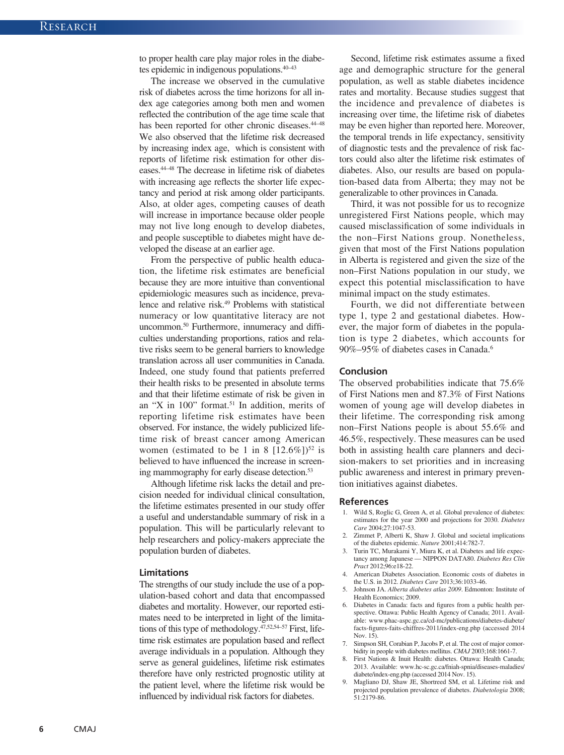to proper health care play major roles in the diabetes epidemic in indigenous populations.40–43

The increase we observed in the cumulative risk of diabetes across the time horizons for all index age categories among both men and women reflected the contribution of the age time scale that has been reported for other chronic diseases.<sup>44–48</sup> We also observed that the lifetime risk decreased by increasing index age, which is consistent with reports of lifetime risk estimation for other diseases.44–48 The decrease in lifetime risk of diabetes with increasing age reflects the shorter life expectancy and period at risk among older participants. Also, at older ages, competing causes of death will increase in importance because older people may not live long enough to develop diabetes, and people susceptible to diabetes might have developed the disease at an earlier age.

From the perspective of public health education, the lifetime risk estimates are beneficial because they are more intuitive than conventional epidemiologic measures such as incidence, prevalence and relative risk.49 Problems with statistical numeracy or low quantitative literacy are not uncommon.50 Furthermore, innumeracy and difficulties understanding proportions, ratios and relative risks seem to be general barriers to knowledge translation across all user communities in Canada. Indeed, one study found that patients preferred their health risks to be presented in absolute terms and that their lifetime estimate of risk be given in an "X in 100" format.<sup>51</sup> In addition, merits of reporting lifetime risk estimates have been observed. For instance, the widely publicized lifetime risk of breast cancer among American women (estimated to be 1 in 8  $[12.6\%]$ )<sup>52</sup> is believed to have influenced the increase in screening mammography for early disease detection.<sup>53</sup>

Although lifetime risk lacks the detail and precision needed for individual clinical consultation, the lifetime estimates presented in our study offer a useful and understandable summary of risk in a population. This will be particularly relevant to help researchers and policy-makers appreciate the population burden of diabetes.

#### **Limitations**

The strengths of our study include the use of a population-based cohort and data that encompassed diabetes and mortality. However, our reported estimates need to be interpreted in light of the limitations of this type of methodology.<sup>47,52,54–57</sup> First, lifetime risk estimates are population based and reflect average individuals in a population. Although they serve as general guidelines, lifetime risk estimates therefore have only restricted prognostic utility at the patient level, where the lifetime risk would be influenced by individual risk factors for diabetes.

Second, lifetime risk estimates assume a fixed age and demographic structure for the general population, as well as stable diabetes incidence rates and mortality. Because studies suggest that the incidence and prevalence of diabetes is increasing over time, the lifetime risk of diabetes may be even higher than reported here. Moreover, the temporal trends in life expectancy, sensitivity of diagnostic tests and the prevalence of risk factors could also alter the lifetime risk estimates of diabetes. Also, our results are based on population-based data from Alberta; they may not be generalizable to other provinces in Canada.

Third, it was not possible for us to recognize unregistered First Nations people, which may caused misclassification of some individuals in the non–First Nations group. Nonetheless, given that most of the First Nations population in Alberta is registered and given the size of the non–First Nations population in our study, we expect this potential misclassification to have minimal impact on the study estimates.

Fourth, we did not differentiate between type 1, type 2 and gestational diabetes. However, the major form of diabetes in the population is type 2 diabetes, which accounts for 90%–95% of diabetes cases in Canada.6

#### **Conclusion**

The observed probabilities indicate that 75.6% of First Nations men and 87.3% of First Nations women of young age will develop diabetes in their lifetime. The corresponding risk among non–First Nations people is about 55.6% and 46.5%, respectively. These measures can be used both in assisting health care planners and decision-makers to set priorities and in increasing public awareness and interest in primary prevention initiatives against diabetes.

#### **References**

- 1. Wild S, Roglic G, Green A, et al. Global prevalence of diabetes: estimates for the year 2000 and projections for 2030. *Diabetes Care* 2004;27:1047-53.
- 2. Zimmet P, Alberti K, Shaw J. Global and societal implications of the diabetes epidemic. *Nature* 2001;414:782-7.
- 3. Turin TC, Murakami Y, Miura K, et al. Diabetes and life expectancy among Japanese — NIPPON DATA80. *Diabetes Res Clin Pract* 2012;96:e18-22.
- 4. American Diabetes Association. Economic costs of diabetes in the U.S. in 2012. *Diabetes Care* 2013;36:1033-46.
- 5. Johnson JA. *Alberta diabetes atlas 2009*. Edmonton: Institute of Health Economics; 2009.
- 6. Diabetes in Canada: facts and figures from a public health perspective. Ottawa: Public Health Agency of Canada; 2011. Available: www.phac-aspc.gc.ca/cd-mc/publications/diabetes-diabete/ facts-figures-faits-chiffres-2011/index-eng.php (accessed 2014 Nov. 15).
- 7. Simpson SH, Corabian P, Jacobs P, et al. The cost of major comorbidity in people with diabetes mellitus. *CMAJ* 2003;168:1661-7.
- 8. First Nations & Inuit Health: diabetes. Ottawa: Health Canada; 2013. Available: www.hc-sc.gc.ca/fniah-spnia/diseases-maladies/ diabete/index-eng.php (accessed 2014 Nov. 15).
- Magliano DJ, Shaw JE, Shortreed SM, et al. Lifetime risk and projected population prevalence of diabetes. *Diabetologia* 2008; 51:2179-86.